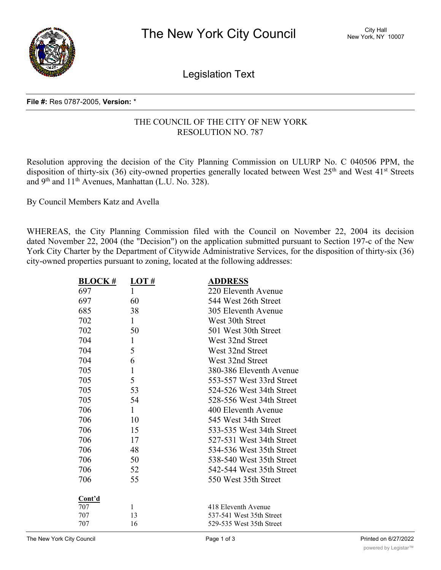

Legislation Text

# **File #:** Res 0787-2005, **Version:** \*

# THE COUNCIL OF THE CITY OF NEW YORK RESOLUTION NO. 787

Resolution approving the decision of the City Planning Commission on ULURP No. C 040506 PPM, the disposition of thirty-six (36) city-owned properties generally located between West  $25<sup>th</sup>$  and West  $41<sup>st</sup>$  Streets and 9th and 11th Avenues, Manhattan (L.U. No. 328).

By Council Members Katz and Avella

WHEREAS, the City Planning Commission filed with the Council on November 22, 2004 its decision dated November 22, 2004 (the "Decision") on the application submitted pursuant to Section 197-c of the New York City Charter by the Department of Citywide Administrative Services, for the disposition of thirty-six (36) city-owned properties pursuant to zoning, located at the following addresses:

| <b>BLOCK#</b> | LOT #        | <b>ADDRESS</b>           |
|---------------|--------------|--------------------------|
| 697           | 1            | 220 Eleventh Avenue      |
| 697           | 60           | 544 West 26th Street     |
| 685           | 38           | 305 Eleventh Avenue      |
| 702           | $\mathbf{1}$ | West 30th Street         |
| 702           | 50           | 501 West 30th Street     |
| 704           | $\mathbf{1}$ | West 32nd Street         |
| 704           | 5            | West 32nd Street         |
| 704           | 6            | West 32nd Street         |
| 705           | $\mathbf{1}$ | 380-386 Eleventh Avenue  |
| 705           | 5            | 553-557 West 33rd Street |
| 705           | 53           | 524-526 West 34th Street |
| 705           | 54           | 528-556 West 34th Street |
| 706           | 1            | 400 Eleventh Avenue      |
| 706           | 10           | 545 West 34th Street     |
| 706           | 15           | 533-535 West 34th Street |
| 706           | 17           | 527-531 West 34th Street |
| 706           | 48           | 534-536 West 35th Street |
| 706           | 50           | 538-540 West 35th Street |
| 706           | 52           | 542-544 West 35th Street |
| 706           | 55           | 550 West 35th Street     |
|               |              |                          |
| Cont'd        |              |                          |
| 707           | $\mathbf{1}$ | 418 Eleventh Avenue      |
| 707           | 13<br>16     | 537-541 West 35th Street |
| 707           |              | 529-535 West 35th Street |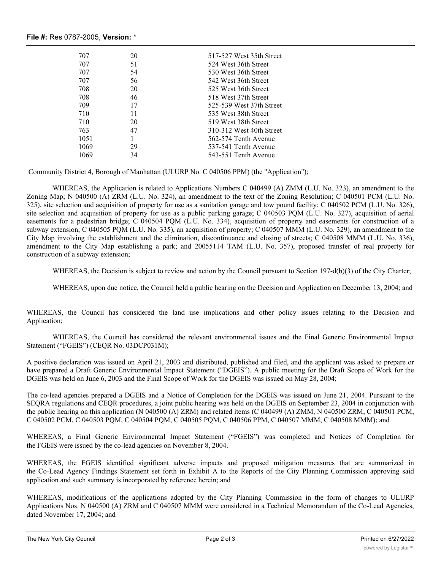#### **File #:** Res 0787-2005, **Version:** \*

| 707  | 20 | 517-527 West 35th Street |
|------|----|--------------------------|
| 707  | 51 | 524 West 36th Street     |
| 707  | 54 | 530 West 36th Street     |
| 707  | 56 | 542 West 36th Street     |
| 708  | 20 | 525 West 36th Street     |
| 708  | 46 | 518 West 37th Street     |
| 709  | 17 | 525-539 West 37th Street |
| 710  | 11 | 535 West 38th Street     |
| 710  | 20 | 519 West 38th Street     |
| 763  | 47 | 310-312 West 40th Street |
| 1051 |    | 562-574 Tenth Avenue     |
| 1069 | 29 | 537-541 Tenth Avenue     |
| 1069 | 34 | 543-551 Tenth Avenue     |

Community District 4, Borough of Manhattan (ULURP No. C 040506 PPM) (the "Application");

WHEREAS, the Application is related to Applications Numbers C 040499 (A) ZMM (L.U. No. 323), an amendment to the Zoning Map; N 040500 (A) ZRM (L.U. No. 324), an amendment to the text of the Zoning Resolution; C 040501 PCM (L.U. No. 325), site selection and acquisition of property for use as a sanitation garage and tow pound facility; C 040502 PCM (L.U. No. 326), site selection and acquisition of property for use as a public parking garage; C 040503 PQM (L.U. No. 327), acquisition of aerial easements for a pedestrian bridge; C 040504 PQM (L.U. No. 334), acquisition of property and easements for construction of a subway extension; C 040505 PQM (L.U. No. 335), an acquisition of property; C 040507 MMM (L.U. No. 329), an amendment to the City Map involving the establishment and the elimination, discontinuance and closing of streets; C 040508 MMM (L.U. No. 336), amendment to the City Map establishing a park; and 20055114 TAM (L.U. No. 357), proposed transfer of real property for construction of a subway extension;

WHEREAS, the Decision is subject to review and action by the Council pursuant to Section 197-d(b)(3) of the City Charter;

WHEREAS, upon due notice, the Council held a public hearing on the Decision and Application on December 13, 2004; and

WHEREAS, the Council has considered the land use implications and other policy issues relating to the Decision and Application;

WHEREAS, the Council has considered the relevant environmental issues and the Final Generic Environmental Impact Statement ("FGEIS") (CEQR No. 03DCP031M);

A positive declaration was issued on April 21, 2003 and distributed, published and filed, and the applicant was asked to prepare or have prepared a Draft Generic Environmental Impact Statement ("DGEIS"). A public meeting for the Draft Scope of Work for the DGEIS was held on June 6, 2003 and the Final Scope of Work for the DGEIS was issued on May 28, 2004;

The co-lead agencies prepared a DGEIS and a Notice of Completion for the DGEIS was issued on June 21, 2004. Pursuant to the SEQRA regulations and CEQR procedures, a joint public hearing was held on the DGEIS on September 23, 2004 in conjunction with the public hearing on this application (N 040500 (A) ZRM) and related items (C 040499 (A) ZMM, N 040500 ZRM, C 040501 PCM, C 040502 PCM, C 040503 PQM, C 040504 PQM, C 040505 PQM, C 040506 PPM, C 040507 MMM, C 040508 MMM); and

WHEREAS, a Final Generic Environmental Impact Statement ("FGEIS") was completed and Notices of Completion for the FGEIS were issued by the co-lead agencies on November 8, 2004.

WHEREAS, the FGEIS identified significant adverse impacts and proposed mitigation measures that are summarized in the Co-Lead Agency Findings Statement set forth in Exhibit A to the Reports of the City Planning Commission approving said application and such summary is incorporated by reference herein; and

WHEREAS, modifications of the applications adopted by the City Planning Commission in the form of changes to ULURP Applications Nos. N 040500 (A) ZRM and C 040507 MMM were considered in a Technical Memorandum of the Co-Lead Agencies, dated November 17, 2004; and